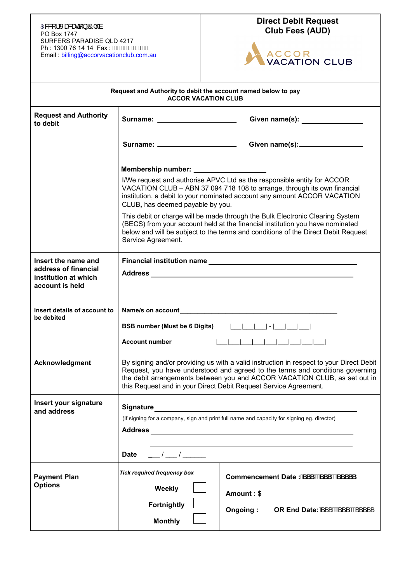## **CB&[ ¦Ácasaaã } ÁÔ|ˇ à la component de la component de la component de la component de la component de la compo<br>FFRUSHERUSHERUNA DE la component de la component de la component de la component de la component de la compon** PO Box 1747 SURFERS PARADISE QLD 4217 Ph : 1300 76 14 14 Fax : FH€€Â Î FÁH H Email : [billing@accorvacationclub.com.au](mailto:billing@accorvacationclub.com.au)

## **Direct Debit Request**



|                                                                                        | Request and Authority to debit the account named below to pay<br><b>ACCOR VACATION CLUB</b>                                                                                                                                                                                                                               |                                                                                                                                                                                                                                                     |  |
|----------------------------------------------------------------------------------------|---------------------------------------------------------------------------------------------------------------------------------------------------------------------------------------------------------------------------------------------------------------------------------------------------------------------------|-----------------------------------------------------------------------------------------------------------------------------------------------------------------------------------------------------------------------------------------------------|--|
| <b>Request and Authority</b><br>to debit                                               |                                                                                                                                                                                                                                                                                                                           | Surname: _______________________________Given name(s): _________________________                                                                                                                                                                    |  |
|                                                                                        |                                                                                                                                                                                                                                                                                                                           | Surname: ____________________________Given name(s): ____________________________                                                                                                                                                                    |  |
|                                                                                        | Membership number: __________________                                                                                                                                                                                                                                                                                     |                                                                                                                                                                                                                                                     |  |
|                                                                                        | CLUB, has deemed payable by you.                                                                                                                                                                                                                                                                                          | I/We request and authorise APVC Ltd as the responsible entity for ACCOR<br>VACATION CLUB - ABN 37 094 718 108 to arrange, through its own financial<br>institution, a debit to your nominated account any amount ACCOR VACATION                     |  |
|                                                                                        | Service Agreement.                                                                                                                                                                                                                                                                                                        | This debit or charge will be made through the Bulk Electronic Clearing System<br>(BECS) from your account held at the financial institution you have nominated<br>below and will be subject to the terms and conditions of the Direct Debit Request |  |
| Insert the name and<br>address of financial<br>institution at which<br>account is held |                                                                                                                                                                                                                                                                                                                           |                                                                                                                                                                                                                                                     |  |
| Insert details of account to<br>be debited                                             |                                                                                                                                                                                                                                                                                                                           |                                                                                                                                                                                                                                                     |  |
|                                                                                        | BSB number (Must be 6 Digits)                    <br><b>Account number</b>                                                                                                                                                                                                                                                | 1 1 1 1 1 1 1 1 1 1                                                                                                                                                                                                                                 |  |
|                                                                                        |                                                                                                                                                                                                                                                                                                                           |                                                                                                                                                                                                                                                     |  |
| Acknowledgment                                                                         | By signing and/or providing us with a valid instruction in respect to your Direct Debit<br>Request, you have understood and agreed to the terms and conditions governing<br>the debit arrangements between you and ACCOR VACATION CLUB, as set out in<br>this Request and in your Direct Debit Request Service Agreement. |                                                                                                                                                                                                                                                     |  |
| Insert your signature<br>and address                                                   |                                                                                                                                                                                                                                                                                                                           |                                                                                                                                                                                                                                                     |  |
|                                                                                        | (If signing for a company, sign and print full name and capacity for signing eg. director)                                                                                                                                                                                                                                |                                                                                                                                                                                                                                                     |  |
|                                                                                        | <b>Date</b><br>$\begin{array}{ccc} & I & I \end{array}$                                                                                                                                                                                                                                                                   |                                                                                                                                                                                                                                                     |  |
| <b>Payment Plan</b><br><b>Options</b>                                                  | <b>Tick required frequency box</b>                                                                                                                                                                                                                                                                                        | Commencement Date: SSS #SSS #SSSSS                                                                                                                                                                                                                  |  |
|                                                                                        | Weekly                                                                                                                                                                                                                                                                                                                    | Amount: \$                                                                                                                                                                                                                                          |  |
|                                                                                        | Fortnightly                                                                                                                                                                                                                                                                                                               | OR End Date: A ' ' AA ' ' AA '<br>Ongoing:                                                                                                                                                                                                          |  |
|                                                                                        | <b>Monthly</b>                                                                                                                                                                                                                                                                                                            |                                                                                                                                                                                                                                                     |  |